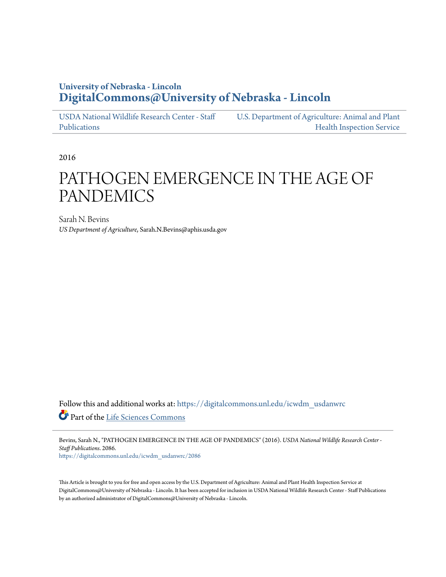## **University of Nebraska - Lincoln [DigitalCommons@University of Nebraska - Lincoln](https://digitalcommons.unl.edu?utm_source=digitalcommons.unl.edu%2Ficwdm_usdanwrc%2F2086&utm_medium=PDF&utm_campaign=PDFCoverPages)**

[USDA National Wildlife Research Center - Staff](https://digitalcommons.unl.edu/icwdm_usdanwrc?utm_source=digitalcommons.unl.edu%2Ficwdm_usdanwrc%2F2086&utm_medium=PDF&utm_campaign=PDFCoverPages) [Publications](https://digitalcommons.unl.edu/icwdm_usdanwrc?utm_source=digitalcommons.unl.edu%2Ficwdm_usdanwrc%2F2086&utm_medium=PDF&utm_campaign=PDFCoverPages) [U.S. Department of Agriculture: Animal and Plant](https://digitalcommons.unl.edu/usdaaphis?utm_source=digitalcommons.unl.edu%2Ficwdm_usdanwrc%2F2086&utm_medium=PDF&utm_campaign=PDFCoverPages) [Health Inspection Service](https://digitalcommons.unl.edu/usdaaphis?utm_source=digitalcommons.unl.edu%2Ficwdm_usdanwrc%2F2086&utm_medium=PDF&utm_campaign=PDFCoverPages)

2016

## PATHOGEN EMERGENCE IN THE AGE OF PANDEMICS

Sarah N. Bevins *US Department of Agriculture*, Sarah.N.Bevins@aphis.usda.gov

Follow this and additional works at: [https://digitalcommons.unl.edu/icwdm\\_usdanwrc](https://digitalcommons.unl.edu/icwdm_usdanwrc?utm_source=digitalcommons.unl.edu%2Ficwdm_usdanwrc%2F2086&utm_medium=PDF&utm_campaign=PDFCoverPages) Part of the [Life Sciences Commons](http://network.bepress.com/hgg/discipline/1016?utm_source=digitalcommons.unl.edu%2Ficwdm_usdanwrc%2F2086&utm_medium=PDF&utm_campaign=PDFCoverPages)

Bevins, Sarah N., "PATHOGEN EMERGENCE IN THE AGE OF PANDEMICS" (2016). *USDA National Wildlife Research Center - Staff Publications*. 2086.

[https://digitalcommons.unl.edu/icwdm\\_usdanwrc/2086](https://digitalcommons.unl.edu/icwdm_usdanwrc/2086?utm_source=digitalcommons.unl.edu%2Ficwdm_usdanwrc%2F2086&utm_medium=PDF&utm_campaign=PDFCoverPages)

This Article is brought to you for free and open access by the U.S. Department of Agriculture: Animal and Plant Health Inspection Service at DigitalCommons@University of Nebraska - Lincoln. It has been accepted for inclusion in USDA National Wildlife Research Center - Staff Publications by an authorized administrator of DigitalCommons@University of Nebraska - Lincoln.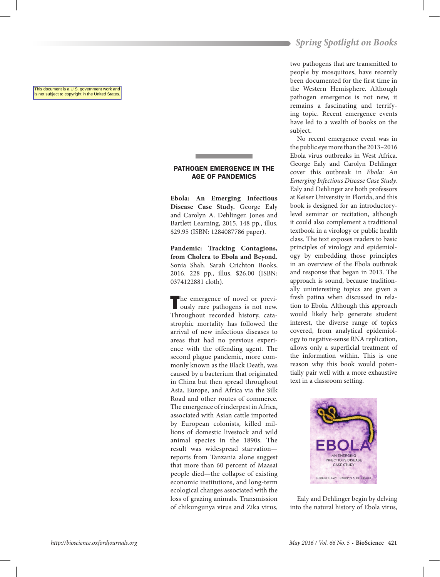$t$  is a U.S. government work and inglet to copyright in the office offices. This document is a U.S. government work and is not subject to copyright in the United States.

## PATHOGEN EMERGENCE IN THE AGE OF PANDEMICS

**Ebola: An Emerging Infectious Disease Case Study.** George Ealy and Carolyn A. Dehlinger. Jones and Bartlett Learning, 2015. 148 pp., illus. \$29.95 (ISBN: 1284087786 paper).

**Pandemic: Tracking Contagions, from Cholera to Ebola and Beyond.** Sonia Shah. Sarah Crichton Books, 2016. 228 pp., illus. \$26.00 (ISBN: 0374122881 cloth).

The emergence of novel or previously rare pathogens is not new. Throughout recorded history, catastrophic mortality has followed the arrival of new infectious diseases to areas that had no previous experience with the offending agent. The second plague pandemic, more commonly known as the Black Death, was caused by a bacterium that originated in China but then spread throughout Asia, Europe, and Africa via the Silk Road and other routes of commerce. The emergence of rinderpest in Africa, associated with Asian cattle imported by European colonists, killed millions of domestic livestock and wild animal species in the 1890s. The result was widespread starvation reports from Tanzania alone suggest that more than 60 percent of Maasai people died—the collapse of existing economic institutions, and long-term ecological changes associated with the loss of grazing animals. Transmission of chikungunya virus and Zika virus,

two pathogens that are transmitted to people by mosquitoes, have recently been documented for the first time in the Western Hemisphere. Although pathogen emergence is not new, it remains a fascinating and terrifying topic. Recent emergence events have led to a wealth of books on the subject.

No recent emergence event was in the public eye more than the 2013–2016 Ebola virus outbreaks in West Africa. George Ealy and Carolyn Dehlinger cover this outbreak in *Ebola: An Emerging Infectious Disease Case Study.* Ealy and Dehlinger are both professors at Keiser University in Florida, and this book is designed for an introductorylevel seminar or recitation, although it could also complement a traditional textbook in a virology or public health class. The text exposes readers to basic principles of virology and epidemiology by embedding those principles in an overview of the Ebola outbreak and response that began in 2013. The approach is sound, because traditionally uninteresting topics are given a fresh patina when discussed in relation to Ebola. Although this approach would likely help generate student interest, the diverse range of topics covered, from analytical epidemiology to negative-sense RNA replication, allows only a superficial treatment of the information within. This is one reason why this book would potentially pair well with a more exhaustive text in a classroom setting.



Ealy and Dehlinger begin by delving into the natural history of Ebola virus,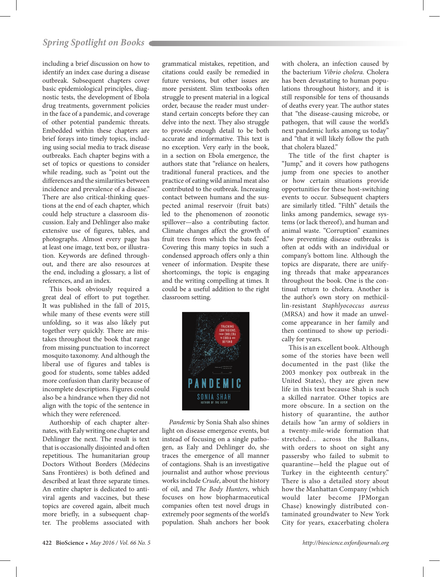including a brief discussion on how to identify an index case during a disease outbreak. Subsequent chapters cover basic epidemiological principles, diagnostic tests, the development of Ebola drug treatments, government policies in the face of a pandemic, and coverage of other potential pandemic threats. Embedded within these chapters are brief forays into timely topics, including using social media to track disease outbreaks. Each chapter begins with a set of topics or questions to consider while reading, such as "point out the differences and the similarities between incidence and prevalence of a disease." There are also critical-thinking questions at the end of each chapter, which could help structure a classroom discussion. Ealy and Dehlinger also make extensive use of figures, tables, and photographs. Almost every page has at least one image, text box, or illustration. Keywords are defined throughout, and there are also resources at the end, including a glossary, a list of references, and an index.

This book obviously required a great deal of effort to put together. It was published in the fall of 2015, while many of these events were still unfolding, so it was also likely put together very quickly. There are mistakes throughout the book that range from missing punctuation to incorrect mosquito taxonomy. And although the liberal use of figures and tables is good for students, some tables added more confusion than clarity because of incomplete descriptions. Figures could also be a hindrance when they did not align with the topic of the sentence in which they were referenced.

Authorship of each chapter alternates, with Ealy writing one chapter and Dehlinger the next. The result is text that is occasionally disjointed and often repetitious. The humanitarian group Doctors Without Borders (Médecins Sans Frontières) is both defined and described at least three separate times. An entire chapter is dedicated to antiviral agents and vaccines, but these topics are covered again, albeit much more briefly, in a subsequent chapter. The problems associated with

grammatical mistakes, repetition, and citations could easily be remedied in future versions, but other issues are more persistent. Slim textbooks often struggle to present material in a logical order, because the reader must understand certain concepts before they can delve into the next. They also struggle to provide enough detail to be both accurate and informative. This text is no exception. Very early in the book, in a section on Ebola emergence, the authors state that "reliance on healers, traditional funeral practices, and the practice of eating wild animal meat also contributed to the outbreak. Increasing contact between humans and the suspected animal reservoir (fruit bats) led to the phenomenon of zoonotic spillover—also a contributing factor. Climate changes affect the growth of fruit trees from which the bats feed." Covering this many topics in such a condensed approach offers only a thin veneer of information. Despite these shortcomings, the topic is engaging and the writing compelling at times. It could be a useful addition to the right classroom setting.



*Pandemic* by Sonia Shah also shines light on disease emergence events, but instead of focusing on a single pathogen, as Ealy and Dehlinger do, she traces the emergence of all manner of contagions. Shah is an investigative journalist and author whose previous works include *Crude*, about the history of oil, and *The Body Hunters*, which focuses on how biopharmaceutical companies often test novel drugs in extremely poor segments of the world's population. Shah anchors her book

with cholera, an infection caused by the bacterium *Vibrio cholera.* Cholera has been devastating to human populations throughout history, and it is still responsible for tens of thousands of deaths every year. The author states that "the disease-causing microbe, or pathogen, that will cause the world's next pandemic lurks among us today" and "that it will likely follow the path that cholera blazed."

The title of the first chapter is "Jump," and it covers how pathogens jump from one species to another or how certain situations provide opportunities for these host-switching events to occur. Subsequent chapters are similarly titled. "Filth" details the links among pandemics, sewage systems (or lack thereof), and human and animal waste. "Corruption" examines how preventing disease outbreaks is often at odds with an individual or company's bottom line. Although the topics are disparate, there are unifying threads that make appearances throughout the book. One is the continual return to cholera. Another is the author's own story on methicillin-resistant *Staphlyococcus aureus* (MRSA) and how it made an unwelcome appearance in her family and then continued to show up periodically for years.

This is an excellent book. Although some of the stories have been well documented in the past (like the 2003 monkey pox outbreak in the United States), they are given new life in this text because Shah is such a skilled narrator. Other topics are more obscure. In a section on the history of quarantine, the author details how "an army of soldiers in a twenty-mile-wide formation that stretched… across the Balkans, with orders to shoot on sight any passersby who failed to submit to quarantine—held the plague out of Turkey in the eighteenth century." There is also a detailed story about how the Manhattan Company (which would later become JPMorgan Chase) knowingly distributed contaminated groundwater to New York City for years, exacerbating cholera